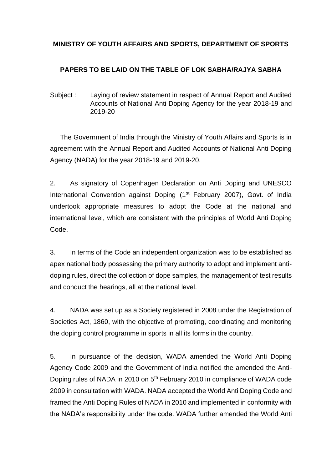### **MINISTRY OF YOUTH AFFAIRS AND SPORTS, DEPARTMENT OF SPORTS**

# **PAPERS TO BE LAID ON THE TABLE OF LOK SABHA/RAJYA SABHA**

Subject : Laying of review statement in respect of Annual Report and Audited Accounts of National Anti Doping Agency for the year 2018-19 and 2019-20

The Government of India through the Ministry of Youth Affairs and Sports is in agreement with the Annual Report and Audited Accounts of National Anti Doping Agency (NADA) for the year 2018-19 and 2019-20.

2. As signatory of Copenhagen Declaration on Anti Doping and UNESCO International Convention against Doping (1<sup>st</sup> February 2007), Govt. of India undertook appropriate measures to adopt the Code at the national and international level, which are consistent with the principles of World Anti Doping Code.

3. In terms of the Code an independent organization was to be established as apex national body possessing the primary authority to adopt and implement antidoping rules, direct the collection of dope samples, the management of test results and conduct the hearings, all at the national level.

4. NADA was set up as a Society registered in 2008 under the Registration of Societies Act, 1860, with the objective of promoting, coordinating and monitoring the doping control programme in sports in all its forms in the country.

5. In pursuance of the decision, WADA amended the World Anti Doping Agency Code 2009 and the Government of India notified the amended the Anti-Doping rules of NADA in 2010 on 5<sup>th</sup> February 2010 in compliance of WADA code 2009 in consultation with WADA. NADA accepted the World Anti Doping Code and framed the Anti Doping Rules of NADA in 2010 and implemented in conformity with the NADA's responsibility under the code. WADA further amended the World Anti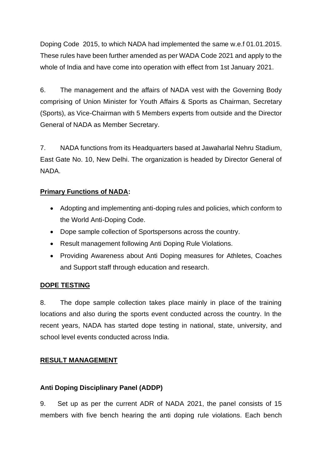Doping Code 2015, to which NADA had implemented the same w.e.f 01.01.2015. These rules have been further amended as per WADA Code 2021 and apply to the whole of India and have come into operation with effect from 1st January 2021.

6. The management and the affairs of NADA vest with the Governing Body comprising of Union Minister for Youth Affairs & Sports as Chairman, Secretary (Sports), as Vice-Chairman with 5 Members experts from outside and the Director General of NADA as Member Secretary.

7. NADA functions from its Headquarters based at Jawaharlal Nehru Stadium, East Gate No. 10, New Delhi. The organization is headed by Director General of NADA.

## **Primary Functions of NADA:**

- Adopting and implementing anti-doping rules and policies, which conform to the World Anti-Doping Code.
- Dope sample collection of Sportspersons across the country.
- Result management following Anti Doping Rule Violations.
- Providing Awareness about Anti Doping measures for Athletes, Coaches and Support staff through education and research.

#### **DOPE TESTING**

8. The dope sample collection takes place mainly in place of the training locations and also during the sports event conducted across the country. In the recent years, NADA has started dope testing in national, state, university, and school level events conducted across India.

#### **RESULT MANAGEMENT**

#### **Anti Doping Disciplinary Panel (ADDP)**

9. Set up as per the current ADR of NADA 2021, the panel consists of 15 members with five bench hearing the anti doping rule violations. Each bench